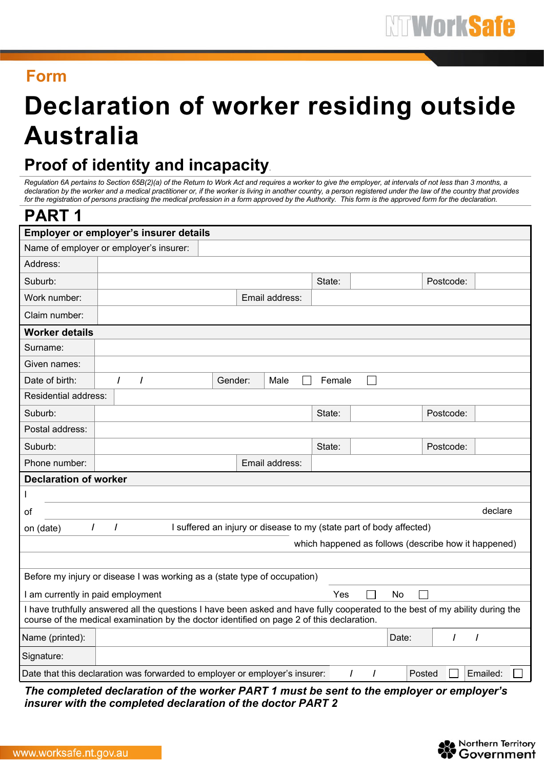## **Form**

## **Declaration of worker residing outside Australia**

## **Proof of identity and incapacity**.

Regulation 6A pertains to Section 65B(2)(a) of the Return to Work Act and requires a worker to give the employer, at intervals of not less than 3 months, a declaration by the worker and a medical practitioner or, if the worker is living in another country, a person registered under the law of the country that provides for the registration of persons practising the medical profession in a form approved by the Authority. This form is the approved form for the declaration.

| <b>PART1</b>                                                                                                                                                                                                               |                                         |         |  |                |        |  |       |           |          |
|----------------------------------------------------------------------------------------------------------------------------------------------------------------------------------------------------------------------------|-----------------------------------------|---------|--|----------------|--------|--|-------|-----------|----------|
| Employer or employer's insurer details                                                                                                                                                                                     |                                         |         |  |                |        |  |       |           |          |
|                                                                                                                                                                                                                            | Name of employer or employer's insurer: |         |  |                |        |  |       |           |          |
| Address:                                                                                                                                                                                                                   |                                         |         |  |                |        |  |       |           |          |
| Suburb:                                                                                                                                                                                                                    |                                         |         |  |                | State: |  |       | Postcode: |          |
| Work number:                                                                                                                                                                                                               |                                         |         |  | Email address: |        |  |       |           |          |
| Claim number:                                                                                                                                                                                                              |                                         |         |  |                |        |  |       |           |          |
| <b>Worker details</b>                                                                                                                                                                                                      |                                         |         |  |                |        |  |       |           |          |
| Surname:                                                                                                                                                                                                                   |                                         |         |  |                |        |  |       |           |          |
| Given names:                                                                                                                                                                                                               |                                         |         |  |                |        |  |       |           |          |
| Date of birth:                                                                                                                                                                                                             | $\prime$<br>$\prime$                    | Gender: |  | Male           | Female |  |       |           |          |
| Residential address:                                                                                                                                                                                                       |                                         |         |  |                |        |  |       |           |          |
| Suburb:                                                                                                                                                                                                                    |                                         |         |  |                | State: |  |       | Postcode: |          |
| Postal address:                                                                                                                                                                                                            |                                         |         |  |                |        |  |       |           |          |
| Suburb:                                                                                                                                                                                                                    |                                         |         |  |                | State: |  |       | Postcode: |          |
| Phone number:                                                                                                                                                                                                              |                                         |         |  | Email address: |        |  |       |           |          |
| <b>Declaration of worker</b>                                                                                                                                                                                               |                                         |         |  |                |        |  |       |           |          |
| I                                                                                                                                                                                                                          |                                         |         |  |                |        |  |       |           |          |
| οf                                                                                                                                                                                                                         |                                         |         |  |                |        |  |       |           | declare  |
| $\prime$<br>I suffered an injury or disease to my (state part of body affected)<br>$\prime$<br>on (date)                                                                                                                   |                                         |         |  |                |        |  |       |           |          |
| which happened as follows (describe how it happened)                                                                                                                                                                       |                                         |         |  |                |        |  |       |           |          |
|                                                                                                                                                                                                                            |                                         |         |  |                |        |  |       |           |          |
| Before my injury or disease I was working as a (state type of occupation)                                                                                                                                                  |                                         |         |  |                |        |  |       |           |          |
| Yes<br>No<br>I am currently in paid employment                                                                                                                                                                             |                                         |         |  |                |        |  |       |           |          |
| I have truthfully answered all the questions I have been asked and have fully cooperated to the best of my ability during the<br>course of the medical examination by the doctor identified on page 2 of this declaration. |                                         |         |  |                |        |  |       |           |          |
| Name (printed):                                                                                                                                                                                                            |                                         |         |  |                |        |  | Date: | $\prime$  | $\prime$ |
| Signature:                                                                                                                                                                                                                 |                                         |         |  |                |        |  |       |           |          |
| Emailed:<br>Date that this declaration was forwarded to employer or employer's insurer:<br>$\prime$<br>$\prime$<br>Posted                                                                                                  |                                         |         |  |                |        |  |       |           |          |

*The completed declaration of the worker PART 1 must be sent to the employer or employer's insurer with the completed declaration of the doctor PART 2*